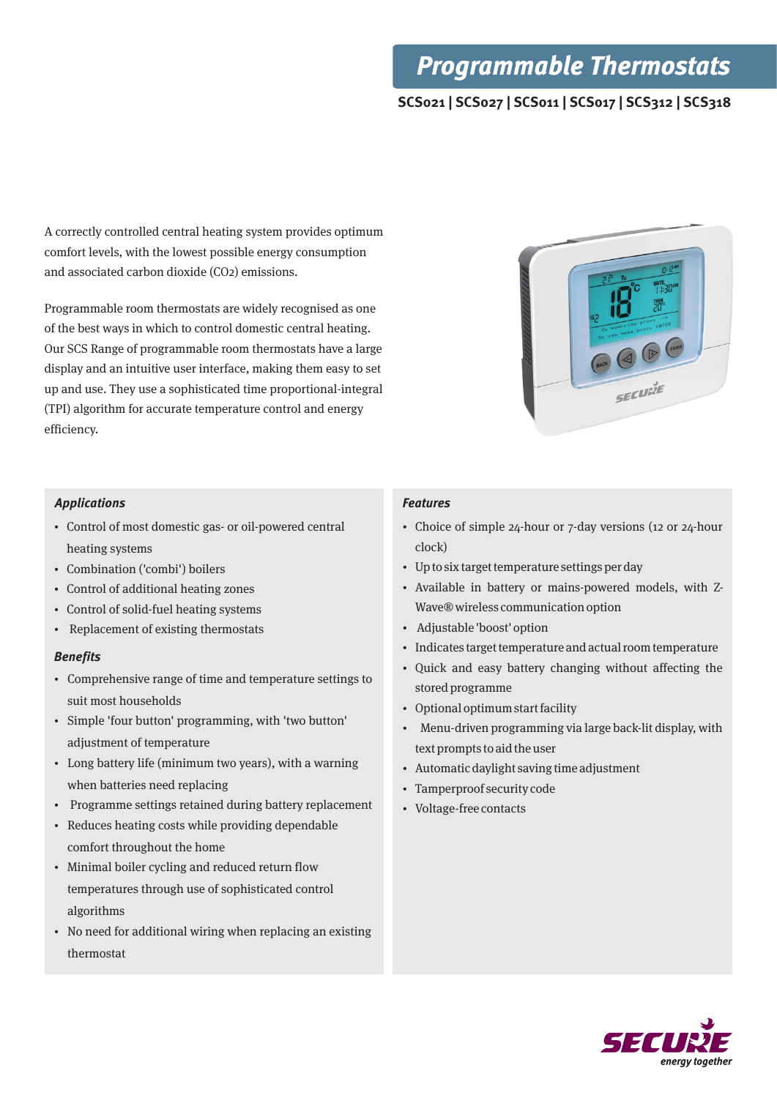## **Programmable Thermostats**

### **SCS021 | SCS027 | SCS011 | SCS017 | SCS312 | SCS318**

A correctly controlled central heating system provides optimum comfort levels, with the lowest possible energy consumption and associated carbon dioxide (CO2) emissions.

Programmable room thermostats are widely recognised as one of the best ways in which to control domestic central heating. Our SCS Range of programmable room thermostats have a large display and an intuitive user interface, making them easy to set up and use. They use a sophisticated time proportional-integral (TPI) algorithm for accurate temperature control and energy efficiency.

#### **Applications**

- Control of most domestic gas- or oil-powered central heating systems
- Combination ('combi') boilers
- Control of additional heating zones
- Control of solid-fuel heating systems
- Replacement of existing thermostats

#### **Benefits**

- Comprehensive range of time and temperature settings to suit most households
- Simple 'four button' programming, with 'two button' adjustment of temperature
- Long battery life (minimum two years), with a warning when batteries need replacing
- Programme settings retained during battery replacement
- Reduces heating costs while providing dependable comfort throughout the home
- Minimal boiler cycling and reduced return flow temperatures through use of sophisticated control algorithms
- No need for additional wiring when replacing an existing thermostat

#### **Features**

- Choice of simple 24-hour or 7-day versions (12 or 24-hour clock)
- Up to six target temperature settings per day
- Available in battery or mains-powered models, with Z-Wave® wireless communication option
- Adjustable 'boost' option
- Indicates target temperature and actual room temperature
- Quick and easy battery changing without affecting the stored programme
- Optional optimum start facility
- Menu-driven programming via large back-lit display, with text prompts to aid the user
- Automatic daylight saving time adjustment
- Tamperproof security code
- Voltage-free contacts